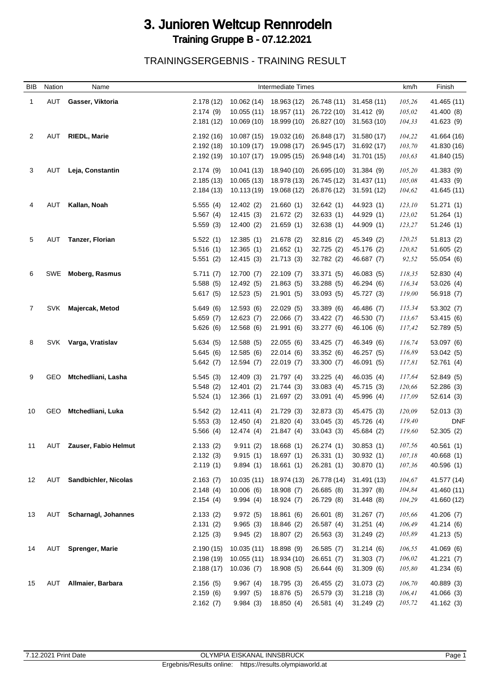## 3. Junioren Weltcup Rennrodeln Training Gruppe B - 07.12.2021

TRAININGSERGEBNIS - TRAINING RESULT

| <b>BIB</b>   | Nation     | Name                       |                      |                         | <b>Intermediate Times</b> |                          |                          | km/h             | Finish                   |
|--------------|------------|----------------------------|----------------------|-------------------------|---------------------------|--------------------------|--------------------------|------------------|--------------------------|
| $\mathbf{1}$ | AUT        | Gasser, Viktoria           | 2.178 (12)           | 10.062 (14)             | 18.963 (12)               | 26.748 (11)              | 31.458 (11)              | 105,26           | 41.465 (11)              |
|              |            |                            | 2.174(9)             | 10.055(11)              | 18.957 (11)               | 26.722 (10)              | 31.412 (9)               | 105,02           | 41.400 (8)               |
|              |            |                            | 2.181 (12)           | 10.069(10)              | 18.999 (10)               | 26.827 (10)              | 31.563(10)               | 104,33           | 41.623 (9)               |
|              |            |                            |                      |                         |                           |                          |                          |                  |                          |
| 2            | AUT        | <b>RIEDL, Marie</b>        | 2.192(16)            | 10.087(15)              | 19.032 (16)               | 26.848 (17)              | 31.580 (17)              | 104,22           | 41.664 (16)              |
|              |            |                            | 2.192(18)            | 10.109 (17)             | 19.098 (17)               | 26.945 (17)              | 31.692 (17)              | 103,70           | 41.830 (16)              |
|              |            |                            | 2.192(19)            | 10.107(17)              | 19.095 (15)               | 26.948 (14)              | 31.701 (15)              | 103,63           | 41.840 (15)              |
| 3            | AUT        | Leja, Constantin           | 2.174(9)             | 10.041 (13)             | 18.940 (10)               | 26.695 (10)              | 31.384 (9)               | 105,20           | 41.383 (9)               |
|              |            |                            | 2.185(13)            | 10.065 (13)             | 18.978 (13)               | 26.745 (12)              | 31.437 (11)              | 105,08           | 41.433 (9)               |
|              |            |                            | 2.184(13)            | 10.113 (19)             | 19.068 (12)               | 26.876 (12)              | 31.591 (12)              | 104,62           | 41.645 (11)              |
|              | AUT        | Kallan, Noah               | 5.555(4)             | 12.402(2)               | 21.660(1)                 | 32.642(1)                | 44.923 (1)               | 123,10           | 51.271(1)                |
|              |            |                            | 5.567(4)             | 12.415(3)               | 21.672 (2)                | 32.633(1)                | 44.929 (1)               | 123,02           | 51.264(1)                |
|              |            |                            | 5.559(3)             | 12.400(2)               | 21.659(1)                 | 32.638(1)                | 44.909 (1)               | 123,27           | 51.246(1)                |
|              |            |                            |                      |                         |                           |                          |                          |                  |                          |
| 5            | AUT        | Tanzer, Florian            | 5.522(1)             | 12.385(1)               | 21.678 (2)                | 32.816 (2)               | 45.349 (2)               | 120,25           | 51.813(2)                |
|              |            |                            | 5.516(1)             | 12.365(1)               | 21.652(1)                 | 32.725 (2)               | 45.176 (2)               | 120,82           | 51.605(2)                |
|              |            |                            | 5.551(2)             | 12.415 (3)              | 21.713 (3)                | 32.782 (2)               | 46.687 (7)               | 92,52            | 55.054 (6)               |
| 6            | SWE        | <b>Moberg, Rasmus</b>      | 5.711(7)             | 12.700 (7)              | 22.109 (7)                | 33.371 (5)               | 46.083 (5)               | 118,35           | 52.830(4)                |
|              |            |                            | 5.588(5)             | 12.492 (5)              | 21.863(5)                 | 33.288 (5)               | 46.294 (6)               | 116,34           | 53.026(4)                |
|              |            |                            | 5.617(5)             | 12.523(5)               | 21.901(5)                 | 33.093 (5)               | 45.727 (3)               | 119,00           | 56.918 (7)               |
|              | <b>SVK</b> |                            |                      |                         | 22.029 (5)                |                          |                          |                  | 53.302 (7)               |
| 7            |            | Majercak, Metod            | 5.649(6)<br>5.659(7) | 12.593(6)<br>12.623(7)  | 22.066 (7)                | 33.389 (6)<br>33.422 (7) | 46.486 (7)<br>46.530 (7) | 115,34<br>113,67 |                          |
|              |            |                            | 5.626(6)             | 12.568 (6)              | 21.991 (6)                | 33.277 (6)               | 46.106 (6)               | 117,42           | 53.415 (6)<br>52.789 (5) |
|              |            |                            |                      |                         |                           |                          |                          |                  |                          |
| 8            | SVK        | Varga, Vratislav           | 5.634(5)             | 12.588 (5)              | 22.055(6)                 | 33.425(7)                | 46.349 (6)               | 116,74           | 53.097 (6)               |
|              |            |                            | 5.645(6)             | 12.585(6)               | 22.014(6)                 | 33.352 (6)               | 46.257 (5)               | 116,89           | 53.042 (5)               |
|              |            |                            | 5.642(7)             | 12.594(7)               | 22.019 (7)                | 33.300(7)                | 46.091 (5)               | 117,81           | 52.761 (4)               |
| 9            | GEO        | Mtchedliani, Lasha         | 5.545(3)             | 12.409(3)               | 21.797 (4)                | 33.225(4)                | 46.035 (4)               | 117,64           | 52.849 (5)               |
|              |            |                            | 5.548(2)             | 12.401(2)               | 21.744 (3)                | 33.083(4)                | 45.715 (3)               | 120,66           | 52.286 (3)               |
|              |            |                            | 5.524(1)             | 12.366(1)               | 21.697 (2)                | 33.091(4)                | 45.996 (4)               | 117,09           | 52.614(3)                |
|              |            |                            |                      |                         |                           |                          |                          |                  |                          |
| 10           | <b>GEO</b> | Mtchedliani, Luka          | 5.542(2)             | 12.411(4)               | 21.729 (3)                | 32.873 (3)               | 45.475 (3)               | 120,09           | 52.013(3)                |
|              |            |                            | 5.553(3)<br>5.566(4) | 12.450(4)<br>12.474 (4) | 21.820(4)<br>21.847(4)    | 33.045(3)<br>33.043(3)   | 45.726 (4)<br>45.684 (2) | 119,40<br>119,60 | <b>DNF</b><br>52.305 (2) |
|              |            |                            |                      |                         |                           |                          |                          |                  |                          |
| 11           | AUT        | Zauser, Fabio Helmut       | 2.133(2)             | 9.911(2)                | 18.668(1)                 | 26.274 (1)               | 30.853(1)                | 107,56           | 40.561(1)                |
|              |            |                            | 2.132(3)             | 9.915(1)                | 18.697(1)                 | 26.331(1)                | 30.932(1)                | 107,18           | 40.668(1)                |
|              |            |                            | 2.119(1)             | 9.894(1)                | 18.661(1)                 | 26.281(1)                | 30.870 (1)               | 107,36           | 40.596 (1)               |
| 12           | AUT        | Sandbichler, Nicolas       | 2.163(7)             | 10.035(11)              | 18.974 (13)               | 26.778 (14)              | 31.491 (13)              | 104,67           | 41.577 (14)              |
|              |            |                            | 2.148(4)             | 10.006(6)               | 18.908 (7)                | 26.685 (8)               | 31.397 (8)               | 104,84           | 41.460 (11)              |
|              |            |                            | 2.154(4)             | 9.994(4)                | 18.924 (7)                | 26.729 (8)               | 31.448 (8)               | 104,29           | 41.660 (12)              |
|              |            |                            |                      |                         |                           |                          |                          |                  |                          |
| 13           | AUT        | <b>Scharnagl, Johannes</b> | 2.133(2)             | 9.972(5)                | 18.861(6)                 | 26.601(8)                | 31.267(7)                | 105,66           | 41.206 (7)               |
|              |            |                            | 2.131(2)             | 9.965(3)                | 18.846 (2)<br>18.807 (2)  | 26.587 (4)               | 31.251(4)                | 106,49           | 41.214 (6)               |
|              |            |                            | 2.125(3)             | 9.945(2)                |                           | 26.563 (3)               | 31.249 (2)               | 105,89           | 41.213 (5)               |
| 14           | AUT        | <b>Sprenger, Marie</b>     | 2.190(15)            | 10.035(11)              | 18.898 (9)                | 26.585 (7)               | 31.214(6)                | 106,55           | 41.069 (6)               |
|              |            |                            | 2.198(19)            | 10.055(11)              | 18.934 (10)               | 26.651(7)                | 31.303(7)                | 106,02           | 41.221 (7)               |
|              |            |                            | 2.188(17)            | 10.036(7)               | 18.908 (5)                | 26.644 (6)               | 31.309(6)                | 105,80           | 41.234 (6)               |
| 15           | AUT        | Allmaier, Barbara          | 2.156(5)             | 9.967(4)                | 18.795 (3)                | 26.455 (2)               | 31.073(2)                | 106,70           | 40.889 (3)               |
|              |            |                            | 2.159(6)             | 9.997(5)                | 18.876 (5)                | 26.579 (3)               | 31.218(3)                | 106,41           | 41.066 (3)               |
|              |            |                            | 2.162(7)             | 9.984(3)                | 18.850 (4)                | 26.581 (4)               | 31.249 (2)               | 105,72           | 41.162 (3)               |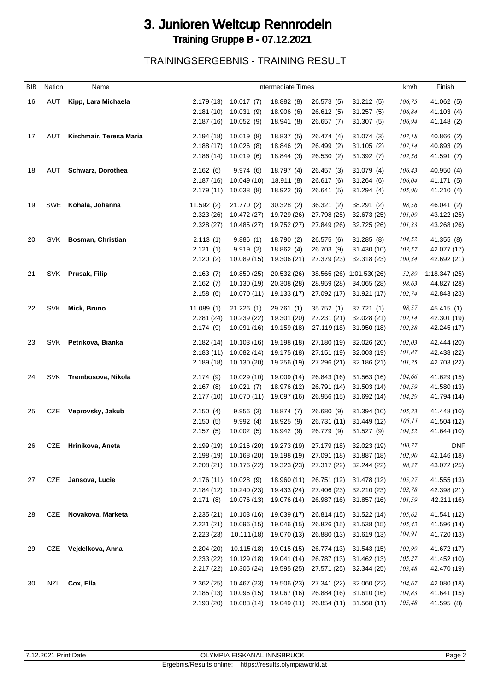## 3. Junioren Weltcup Rennrodeln Training Gruppe B - 07.12.2021

TRAININGSERGEBNIS - TRAINING RESULT

| BIB | Nation     | Name                    |                       |                          | Intermediate Times       |                          |                          | km/h             | Finish       |
|-----|------------|-------------------------|-----------------------|--------------------------|--------------------------|--------------------------|--------------------------|------------------|--------------|
| 16  | AUT        | Kipp, Lara Michaela     | 2.179(13)             | 10.017(7)                | 18.882 (8)               | 26.573 (5)               | 31.212 (5)               | 106,75           | 41.062 (5)   |
|     |            |                         | 2.181(10)             | 10.031(9)                | 18.906 (6)               | 26.612 (5)               | 31.257(5)                | 106,84           | 41.103 (4)   |
|     |            |                         | 2.187(16)             | 10.052(9)                | 18.941 (8)               | 26.657 (7)               | 31.307(5)                | 106,94           | 41.148 (2)   |
| 17  | AUT        | Kirchmair, Teresa Maria | 2.194(18)             | 10.019(8)                | 18.837 (5)               | 26.474 (4)               | 31.074 (3)               | 107,18           | 40.866 (2)   |
|     |            |                         | 2.188(17)             | 10.026(8)                | 18.846 (2)               | 26.499 (2)               | 31.105(2)                | 107,14           | 40.893 (2)   |
|     |            |                         | 2.186(14)             | 10.019(6)                | 18.844 (3)               | 26.530 (2)               | 31.392(7)                | 102,56           | 41.591 (7)   |
|     |            | Schwarz, Dorothea       |                       |                          |                          |                          |                          |                  |              |
| 18  | AUT        |                         | 2.162(6)<br>2.187(16) | 9.974(6)                 | 18.797 (4)               | 26.457 (3)<br>26.617 (6) | 31.079 (4)               | 106,43<br>106,04 | 40.950 (4)   |
|     |            |                         | 2.179(11)             | 10.049 (10)<br>10.038(8) | 18.911 (8)<br>18.922 (6) | 26.641 (5)               | 31.264(6)<br>31.294(4)   | 105,90           | 41.171 (5)   |
|     |            |                         |                       |                          |                          |                          |                          |                  | 41.210 (4)   |
| 19  | SWE        | Kohala, Johanna         | 11.592(2)             | 21.770 (2)               | 30.328(2)                | 36.321 (2)               | 38.291 (2)               | 98,56            | 46.041 (2)   |
|     |            |                         | 2.323(26)             | 10.472 (27)              | 19.729 (26)              | 27.798 (25)              | 32.673 (25)              | 101,09           | 43.122 (25)  |
|     |            |                         | 2.328(27)             | 10.485 (27)              | 19.752 (27)              | 27.849 (26)              | 32.725 (26)              | 101,33           | 43.268 (26)  |
| 20  | <b>SVK</b> | Bosman, Christian       | 2.113(1)              | 9.886(1)                 | 18.790 (2)               | 26.575 (6)               | 31.285 (8)               | 104,52           | 41.355 (8)   |
|     |            |                         | 2.121(1)              | 9.919(2)                 | 18.862 (4)               | 26.703 (9)               | 31.430 (10)              | 103,57           | 42.077 (17)  |
|     |            |                         | 2.120(2)              | 10.089 (15)              | 19.306 (21)              | 27.379 (23)              | 32.318 (23)              | 100,34           | 42.692 (21)  |
| 21  |            | SVK Prusak, Filip       | 2.163(7)              | 10.850 (25)              | 20.532 (26)              |                          | 38.565 (26) 1:01.53((26) | 52,89            | 1:18.347(25) |
|     |            |                         | 2.162(7)              | 10.130 (19)              | 20.308 (28)              | 28.959 (28)              | 34.065 (28)              | 98,63            | 44.827 (28)  |
|     |            |                         | 2.158(6)              | 10.070 (11)              | 19.133 (17)              | 27.092 (17)              | 31.921 (17)              | 102,74           | 42.843 (23)  |
| 22  | SVK        | Mick, Bruno             | 11.089(1)             | 21.226(1)                | 29.761 (1)               | 35.752(1)                | 37.721 (1)               | 98,57            | 45.415 (1)   |
|     |            |                         | 2.281(24)             | 10.239 (22)              | 19.301 (20)              | 27.231 (21)              | 32.028 (21)              | 102,14           | 42.301 (19)  |
|     |            |                         | 2.174(9)              | 10.091 (16)              | 19.159 (18)              | 27.119 (18)              | 31.950 (18)              | 102,38           | 42.245 (17)  |
|     |            |                         |                       |                          |                          |                          |                          |                  |              |
| 23  | SVK        | Petrikova, Bianka       | 2.182(14)             | 10.103 (16)              | 19.198 (18)              | 27.180 (19)              | 32.026 (20)              | 102,03           | 42.444 (20)  |
|     |            |                         | 2.183(11)             | 10.082 (14)              | 19.175 (18)              | 27.151 (19)              | 32.003 (19)              | 101,87           | 42.438 (22)  |
|     |            |                         | 2.189(18)             | 10.130 (20)              | 19.256 (19)              | 27.296 (21)              | 32.186 (21)              | 101,25           | 42.703 (22)  |
| 24  |            | SVK Trembosova, Nikola  | 2.174(9)              | 10.029 (10)              | 19.009 (14)              | 26.843 (16)              | 31.563 (16)              | 104,66           | 41.629 (15)  |
|     |            |                         | 2.167(8)              | 10.021(7)                | 18.976 (12)              | 26.791 (14)              | 31.503 (14)              | 104,59           | 41.580 (13)  |
|     |            |                         | 2.177(10)             | 10.070 (11)              | 19.097 (16)              | 26.956 (15)              | 31.692 (14)              | 104,29           | 41.794 (14)  |
| 25  | CZE        | Veprovsky, Jakub        | 2.150(4)              | 9.956(3)                 | 18.874 (7)               | 26.680 (9)               | 31.394 (10)              | 105,23           | 41.448 (10)  |
|     |            |                         | 2.150(5)              | 9.992(4)                 | 18.925 (9)               | 26.731 (11)              | 31.449 (12)              | 105,11           | 41.504 (12)  |
|     |            |                         | 2.157(5)              | 10.002(5)                | 18.942 (9)               | 26.779 (9)               | 31.527 (9)               | 104,52           | 41.644 (10)  |
| 26  | CZE        | Hrinikova, Aneta        | 2.199(19)             | 10.216 (20)              | 19.273 (19)              | 27.179 (18)              | 32.023 (19)              | 100,77           | <b>DNF</b>   |
|     |            |                         | 2.198(19)             | 10.168 (20)              | 19.198 (19)              | 27.091 (18)              | 31.887 (18)              | 102,90           | 42.146 (18)  |
|     |            |                         | 2.208(21)             | 10.176 (22)              | 19.323 (23)              | 27.317 (22)              | 32.244 (22)              | 98,37            | 43.072 (25)  |
| 27  | CZE        | Jansova, Lucie          | 2.176(11)             | 10.028(9)                | 18.960 (11)              | 26.751 (12)              | 31.478 (12)              | 105,27           | 41.555 (13)  |
|     |            |                         | 2.184(12)             | 10.240 (23)              | 19.433 (24)              | 27.406 (23)              | 32.210 (23)              | 103,78           | 42.398 (21)  |
|     |            |                         | 2.171(8)              | 10.076 (13)              | 19.076 (14)              | 26.987 (16)              | 31.857 (16)              | 101,59           | 42.211 (16)  |
|     |            |                         |                       |                          |                          |                          |                          |                  |              |
| 28  | CZE        | Novakova, Marketa       | 2.235(21)             | 10.103 (16)              | 19.039 (17)              | 26.814 (15)              | 31.522 (14)              | 105,62           | 41.541 (12)  |
|     |            |                         | 2.221(21)             | 10.096 (15)              | 19.046 (15)              | 26.826 (15)              | 31.538 (15)              | 105,42           | 41.596 (14)  |
|     |            |                         | 2.223(23)             | 10.111(18)               | 19.070 (13)              | 26.880 (13)              | 31.619(13)               | 104,91           | 41.720 (13)  |
| 29  | CZE        | Vejdelkova, Anna        | 2.204(20)             | 10.115(18)               | 19.015 (15)              | 26.774 (13)              | 31.543 (15)              | 102,99           | 41.672 (17)  |
|     |            |                         | 2.233(22)             | 10.129 (18)              | 19.041 (14)              | 26.787 (13)              | 31.462 (13)              | 105,27           | 41.452 (10)  |
|     |            |                         | 2.217(22)             | 10.305 (24)              | 19.595 (25)              | 27.571 (25)              | 32.344 (25)              | 103,48           | 42.470 (19)  |
| 30  |            | NZL Cox, Ella           | 2.362(25)             | 10.467 (23)              | 19.506 (23)              | 27.341 (22)              | 32.060 (22)              | 104,67           | 42.080 (18)  |
|     |            |                         | 2.185(13)             | 10.096 (15)              | 19.067 (16)              | 26.884 (16)              | 31.610 (16)              | 104,83           | 41.641 (15)  |
|     |            |                         | 2.193(20)             | 10.083 (14)              | 19.049 (11)              | 26.854 (11)              | 31.568 (11)              | 105,48           | 41.595 (8)   |